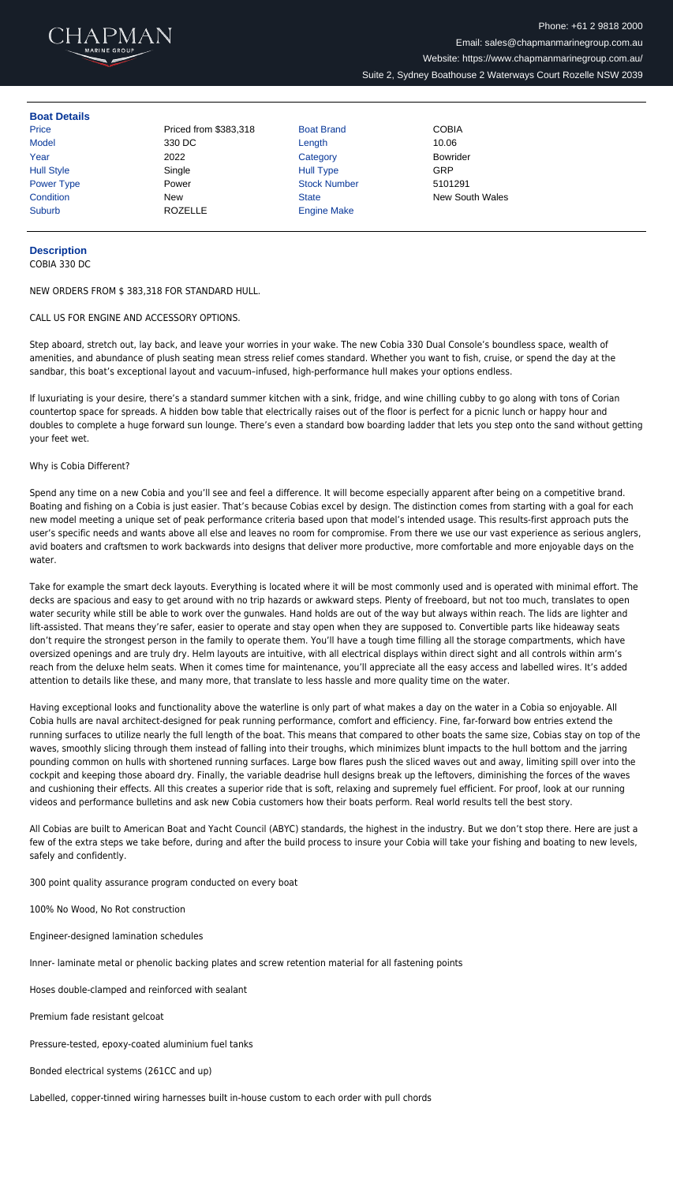

## **Boat Details**

| Price             | Priced from \$383,318 | <b>Boat Brand</b>   | <b>COBIA</b>           |
|-------------------|-----------------------|---------------------|------------------------|
| <b>Model</b>      | 330 DC                | Length              | 10.06                  |
| Year              | 2022                  | Category            | <b>Bowrider</b>        |
| <b>Hull Style</b> | Single                | <b>Hull Type</b>    | GRP                    |
| <b>Power Type</b> | Power                 | <b>Stock Number</b> | 5101291                |
| Condition         | <b>New</b>            | <b>State</b>        | <b>New South Wales</b> |
| <b>Suburb</b>     | <b>ROZELLE</b>        | <b>Engine Make</b>  |                        |
|                   |                       |                     |                        |

## **Description**

COBIA 330 DC

NEW ORDERS FROM \$ 383,318 FOR STANDARD HULL.

CALL US FOR ENGINE AND ACCESSORY OPTIONS.

Step aboard, stretch out, lay back, and leave your worries in your wake. The new Cobia 330 Dual Console's boundless space, wealth of amenities, and abundance of plush seating mean stress relief comes standard. Whether you want to fish, cruise, or spend the day at the sandbar, this boat's exceptional layout and vacuum–infused, high-performance hull makes your options endless.

If luxuriating is your desire, there's a standard summer kitchen with a sink, fridge, and wine chilling cubby to go along with tons of Corian countertop space for spreads. A hidden bow table that electrically raises out of the floor is perfect for a picnic lunch or happy hour and doubles to complete a huge forward sun lounge. There's even a standard bow boarding ladder that lets you step onto the sand without getting your feet wet.

## Why is Cobia Different?

Spend any time on a new Cobia and you'll see and feel a difference. It will become especially apparent after being on a competitive brand. Boating and fishing on a Cobia is just easier. That's because Cobias excel by design. The distinction comes from starting with a goal for each new model meeting a unique set of peak performance criteria based upon that model's intended usage. This results-first approach puts the user's specific needs and wants above all else and leaves no room for compromise. From there we use our vast experience as serious anglers, avid boaters and craftsmen to work backwards into designs that deliver more productive, more comfortable and more enjoyable days on the water.

Take for example the smart deck layouts. Everything is located where it will be most commonly used and is operated with minimal effort. The decks are spacious and easy to get around with no trip hazards or awkward steps. Plenty of freeboard, but not too much, translates to open water security while still be able to work over the gunwales. Hand holds are out of the way but always within reach. The lids are lighter and lift-assisted. That means they're safer, easier to operate and stay open when they are supposed to. Convertible parts like hideaway seats don't require the strongest person in the family to operate them. You'll have a tough time filling all the storage compartments, which have oversized openings and are truly dry. Helm layouts are intuitive, with all electrical displays within direct sight and all controls within arm's reach from the deluxe helm seats. When it comes time for maintenance, you'll appreciate all the easy access and labelled wires. It's added attention to details like these, and many more, that translate to less hassle and more quality time on the water.

Having exceptional looks and functionality above the waterline is only part of what makes a day on the water in a Cobia so enjoyable. All Cobia hulls are naval architect-designed for peak running performance, comfort and efficiency. Fine, far-forward bow entries extend the running surfaces to utilize nearly the full length of the boat. This means that compared to other boats the same size, Cobias stay on top of the waves, smoothly slicing through them instead of falling into their troughs, which minimizes blunt impacts to the hull bottom and the jarring pounding common on hulls with shortened running surfaces. Large bow flares push the sliced waves out and away, limiting spill over into the cockpit and keeping those aboard dry. Finally, the variable deadrise hull designs break up the leftovers, diminishing the forces of the waves and cushioning their effects. All this creates a superior ride that is soft, relaxing and supremely fuel efficient. For proof, look at our running videos and performance bulletins and ask new Cobia customers how their boats perform. Real world results tell the best story.

All Cobias are built to American Boat and Yacht Council (ABYC) standards, the highest in the industry. But we don't stop there. Here are just a few of the extra steps we take before, during and after the build process to insure your Cobia will take your fishing and boating to new levels,

safely and confidently.

300 point quality assurance program conducted on every boat

100% No Wood, No Rot construction

Engineer-designed lamination schedules

Inner- laminate metal or phenolic backing plates and screw retention material for all fastening points

Hoses double-clamped and reinforced with sealant

Premium fade resistant gelcoat

Pressure-tested, epoxy-coated aluminium fuel tanks

Bonded electrical systems (261CC and up)

Labelled, copper-tinned wiring harnesses built in-house custom to each order with pull chords